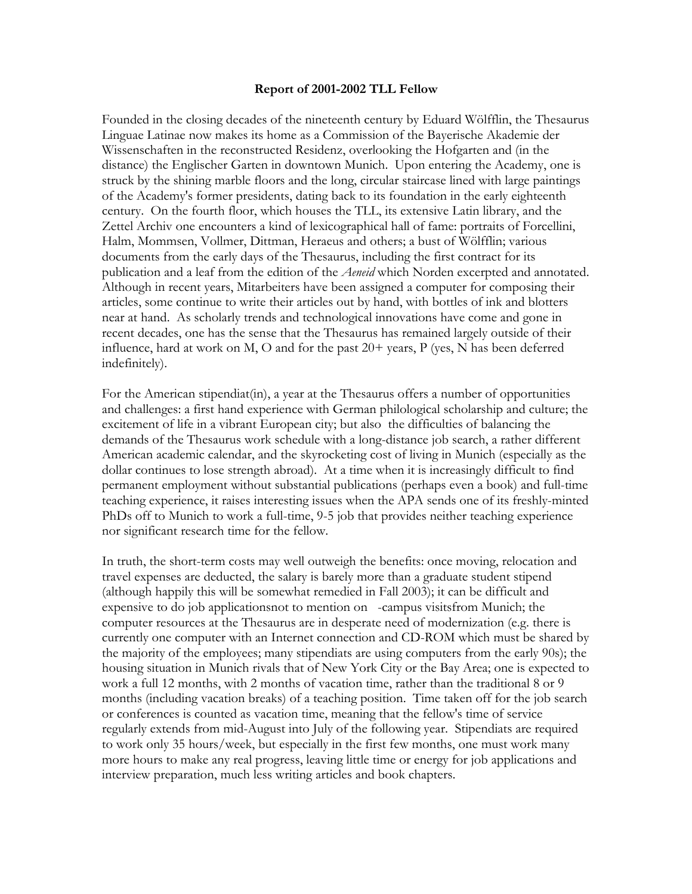## **Report of 2001-2002 TLL Fellow**

Founded in the closing decades of the nineteenth century by Eduard Wölfflin, the Thesaurus Linguae Latinae now makes its home as a Commission of the Bayerische Akademie der Wissenschaften in the reconstructed Residenz, overlooking the Hofgarten and (in the distance) the Englischer Garten in downtown Munich. Upon entering the Academy, one is struck by the shining marble floors and the long, circular staircase lined with large paintings of the Academy's former presidents, dating back to its foundation in the early eighteenth century. On the fourth floor, which houses the TLL, its extensive Latin library, and the Zettel Archiv one encounters a kind of lexicographical hall of fame: portraits of Forcellini, Halm, Mommsen, Vollmer, Dittman, Heraeus and others; a bust of Wölfflin; various documents from the early days of the Thesaurus, including the first contract for its publication and a leaf from the edition of the *Aeneid* which Norden excerpted and annotated. Although in recent years, Mitarbeiters have been assigned a computer for composing their articles, some continue to write their articles out by hand, with bottles of ink and blotters near at hand. As scholarly trends and technological innovations have come and gone in recent decades, one has the sense that the Thesaurus has remained largely outside of their influence, hard at work on M, O and for the past  $20+$  years, P (yes, N has been deferred indefinitely).

For the American stipendiat(in), a year at the Thesaurus offers a number of opportunities and challenges: a first hand experience with German philological scholarship and culture; the excitement of life in a vibrant European city; but also the difficulties of balancing the demands of the Thesaurus work schedule with a long-distance job search, a rather different American academic calendar, and the skyrocketing cost of living in Munich (especially as the dollar continues to lose strength abroad). At a time when it is increasingly difficult to find permanent employment without substantial publications (perhaps even a book) and full-time teaching experience, it raises interesting issues when the APA sends one of its freshly-minted PhDs off to Munich to work a full-time, 9-5 job that provides neither teaching experience nor significant research time for the fellow.

In truth, the short-term costs may well outweigh the benefits: once moving, relocation and travel expenses are deducted, the salary is barely more than a graduate student stipend (although happily this will be somewhat remedied in Fall 2003); it can be difficult and expensive to do job applicationsnot to mention on -campus visitsfrom Munich; the computer resources at the Thesaurus are in desperate need of modernization (e.g. there is currently one computer with an Internet connection and CD-ROM which must be shared by the majority of the employees; many stipendiats are using computers from the early 90s); the housing situation in Munich rivals that of New York City or the Bay Area; one is expected to work a full 12 months, with 2 months of vacation time, rather than the traditional 8 or 9 months (including vacation breaks) of a teaching position. Time taken off for the job search or conferences is counted as vacation time, meaning that the fellow's time of service regularly extends from mid-August into July of the following year. Stipendiats are required to work only 35 hours/week, but especially in the first few months, one must work many more hours to make any real progress, leaving little time or energy for job applications and interview preparation, much less writing articles and book chapters.